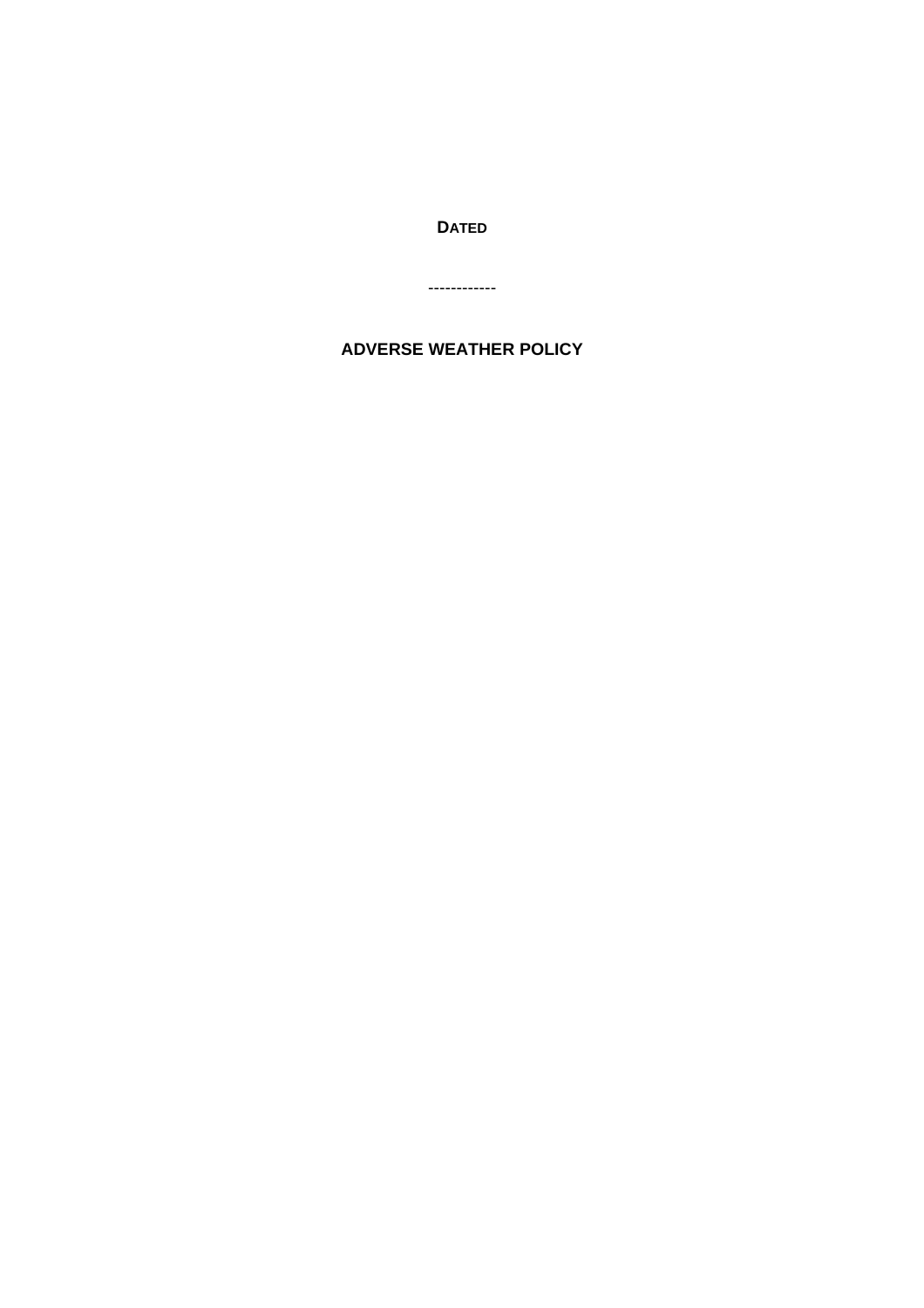**DATED**

------------

# **ADVERSE WEATHER POLICY**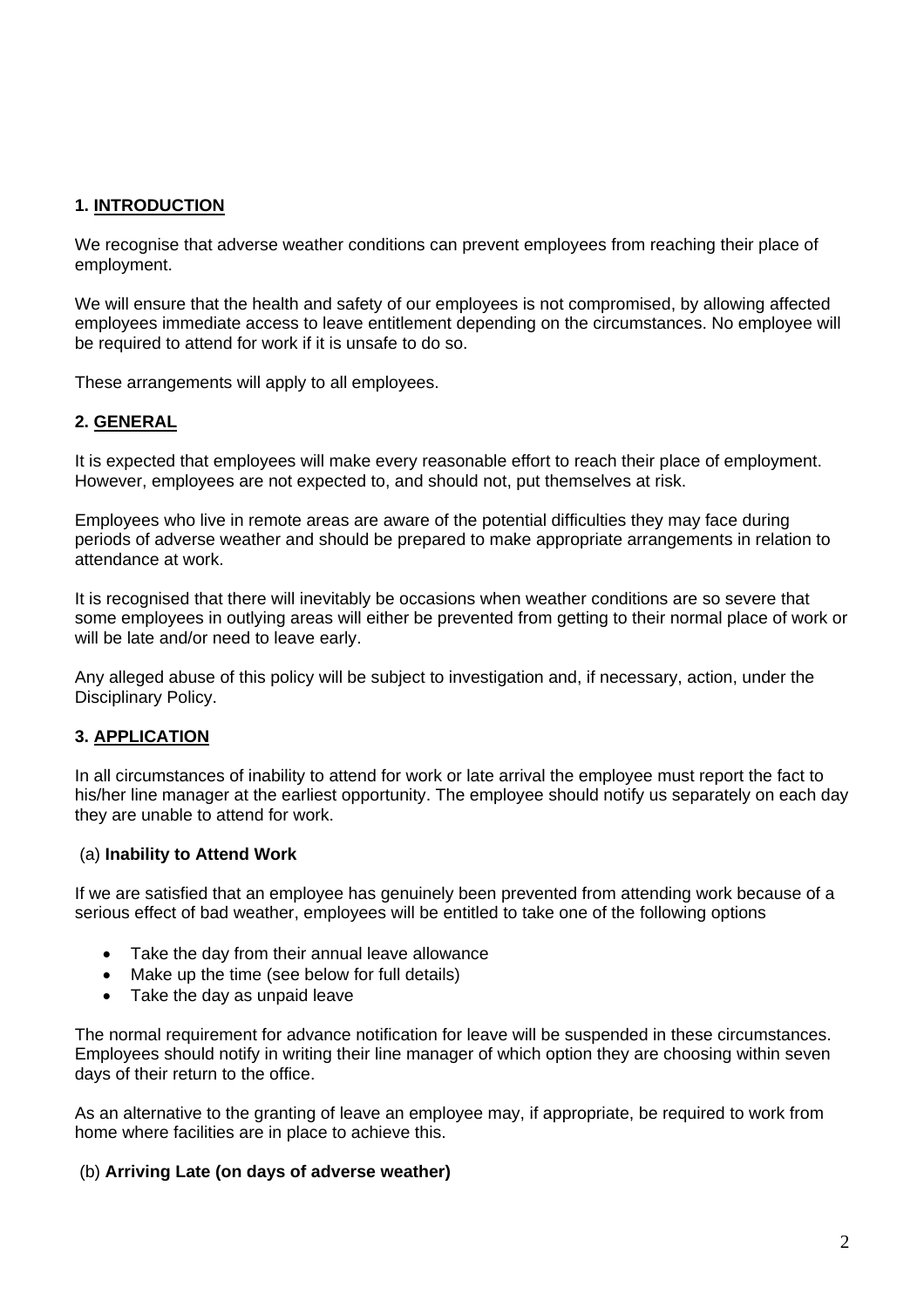## **1. INTRODUCTION**

We recognise that adverse weather conditions can prevent employees from reaching their place of employment.

We will ensure that the health and safety of our employees is not compromised, by allowing affected employees immediate access to leave entitlement depending on the circumstances. No employee will be required to attend for work if it is unsafe to do so.

These arrangements will apply to all employees.

## **2. GENERAL**

It is expected that employees will make every reasonable effort to reach their place of employment. However, employees are not expected to, and should not, put themselves at risk.

Employees who live in remote areas are aware of the potential difficulties they may face during periods of adverse weather and should be prepared to make appropriate arrangements in relation to attendance at work.

It is recognised that there will inevitably be occasions when weather conditions are so severe that some employees in outlying areas will either be prevented from getting to their normal place of work or will be late and/or need to leave early.

Any alleged abuse of this policy will be subject to investigation and, if necessary, action, under the Disciplinary Policy.

## **3. APPLICATION**

In all circumstances of inability to attend for work or late arrival the employee must report the fact to his/her line manager at the earliest opportunity. The employee should notify us separately on each day they are unable to attend for work.

## (a) **Inability to Attend Work**

If we are satisfied that an employee has genuinely been prevented from attending work because of a serious effect of bad weather, employees will be entitled to take one of the following options

- Take the day from their annual leave allowance
- Make up the time (see below for full details)
- Take the day as unpaid leave

The normal requirement for advance notification for leave will be suspended in these circumstances. Employees should notify in writing their line manager of which option they are choosing within seven days of their return to the office.

As an alternative to the granting of leave an employee may, if appropriate, be required to work from home where facilities are in place to achieve this.

## (b) **Arriving Late (on days of adverse weather)**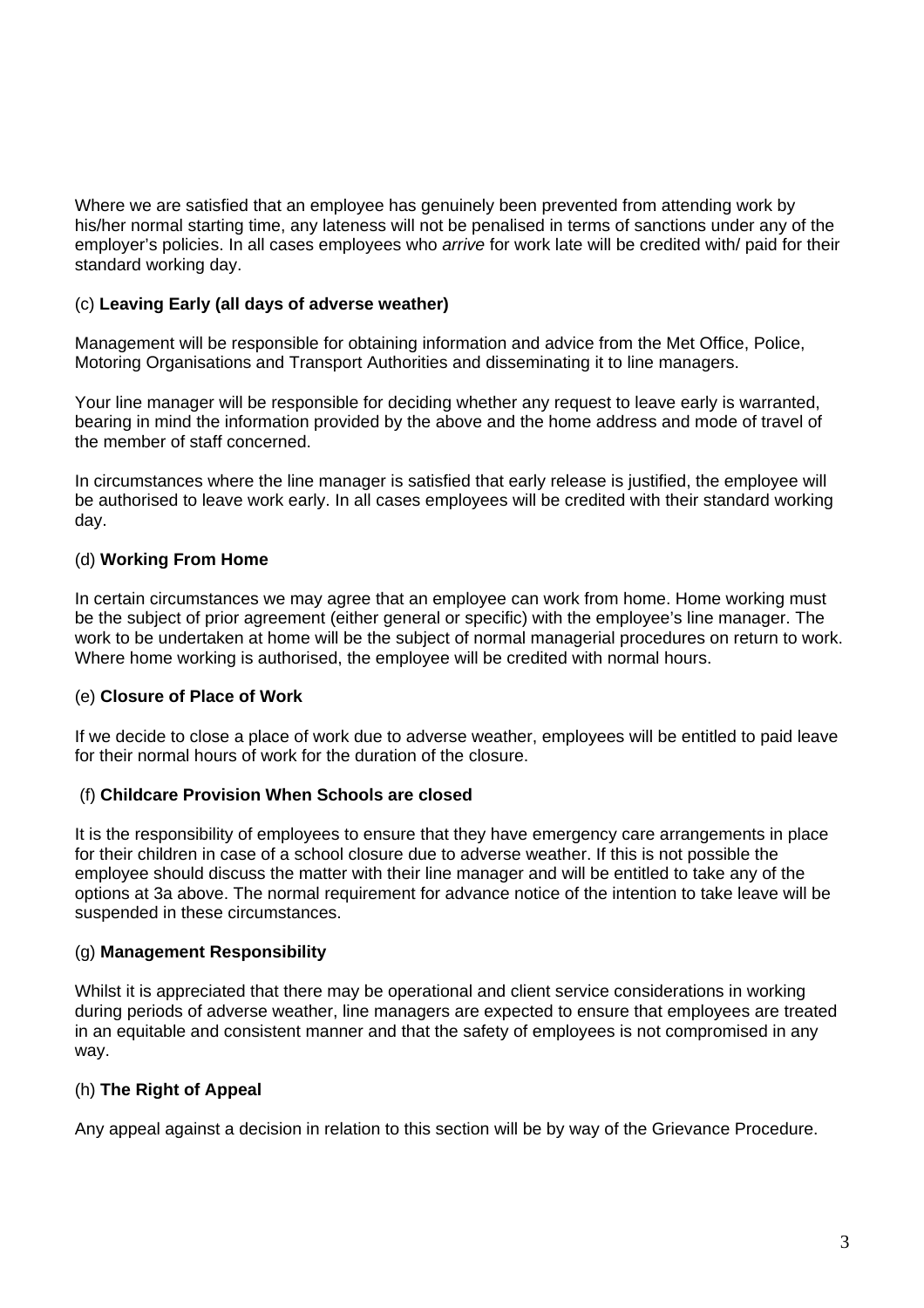Where we are satisfied that an employee has genuinely been prevented from attending work by his/her normal starting time, any lateness will not be penalised in terms of sanctions under any of the employer's policies. In all cases employees who *arrive* for work late will be credited with/ paid for their standard working day.

## (c) **Leaving Early (all days of adverse weather)**

Management will be responsible for obtaining information and advice from the Met Office, Police, Motoring Organisations and Transport Authorities and disseminating it to line managers.

Your line manager will be responsible for deciding whether any request to leave early is warranted, bearing in mind the information provided by the above and the home address and mode of travel of the member of staff concerned.

In circumstances where the line manager is satisfied that early release is justified, the employee will be authorised to leave work early. In all cases employees will be credited with their standard working day.

## (d) **Working From Home**

In certain circumstances we may agree that an employee can work from home. Home working must be the subject of prior agreement (either general or specific) with the employee's line manager. The work to be undertaken at home will be the subject of normal managerial procedures on return to work. Where home working is authorised, the employee will be credited with normal hours.

## (e) **Closure of Place of Work**

If we decide to close a place of work due to adverse weather, employees will be entitled to paid leave for their normal hours of work for the duration of the closure.

## (f) **Childcare Provision When Schools are closed**

It is the responsibility of employees to ensure that they have emergency care arrangements in place for their children in case of a school closure due to adverse weather. If this is not possible the employee should discuss the matter with their line manager and will be entitled to take any of the options at 3a above. The normal requirement for advance notice of the intention to take leave will be suspended in these circumstances.

## (g) **Management Responsibility**

Whilst it is appreciated that there may be operational and client service considerations in working during periods of adverse weather, line managers are expected to ensure that employees are treated in an equitable and consistent manner and that the safety of employees is not compromised in any way.

## (h) **The Right of Appeal**

Any appeal against a decision in relation to this section will be by way of the Grievance Procedure.